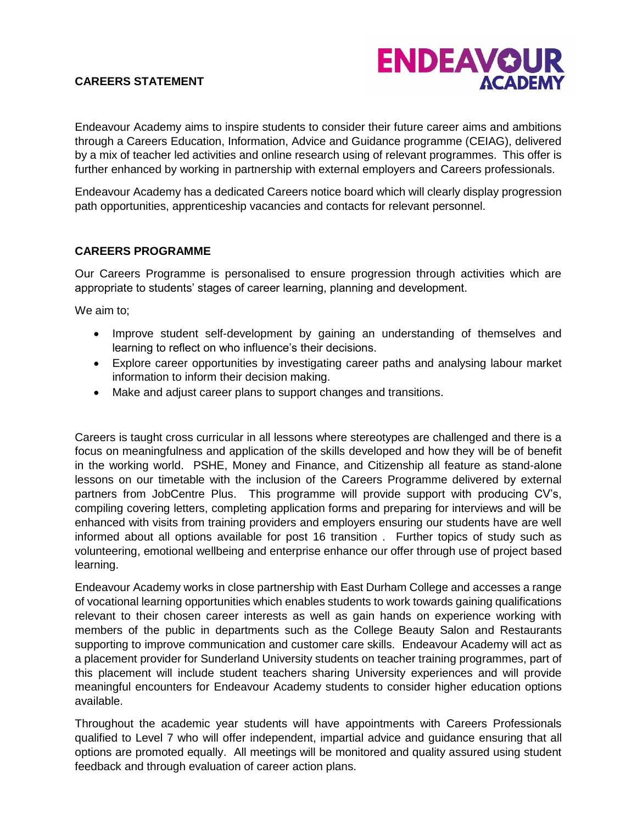# **CAREERS STATEMENT**



Endeavour Academy aims to inspire students to consider their future career aims and ambitions through a Careers Education, Information, Advice and Guidance programme (CEIAG), delivered by a mix of teacher led activities and online research using of relevant programmes. This offer is further enhanced by working in partnership with external employers and Careers professionals.

Endeavour Academy has a dedicated Careers notice board which will clearly display progression path opportunities, apprenticeship vacancies and contacts for relevant personnel.

## **CAREERS PROGRAMME**

Our Careers Programme is personalised to ensure progression through activities which are appropriate to students' stages of career learning, planning and development.

We aim to;

- Improve student self-development by gaining an understanding of themselves and learning to reflect on who influence's their decisions.
- Explore career opportunities by investigating career paths and analysing labour market information to inform their decision making.
- Make and adjust career plans to support changes and transitions.

Careers is taught cross curricular in all lessons where stereotypes are challenged and there is a focus on meaningfulness and application of the skills developed and how they will be of benefit in the working world. PSHE, Money and Finance, and Citizenship all feature as stand-alone lessons on our timetable with the inclusion of the Careers Programme delivered by external partners from JobCentre Plus. This programme will provide support with producing CV's, compiling covering letters, completing application forms and preparing for interviews and will be enhanced with visits from training providers and employers ensuring our students have are well informed about all options available for post 16 transition . Further topics of study such as volunteering, emotional wellbeing and enterprise enhance our offer through use of project based learning.

Endeavour Academy works in close partnership with East Durham College and accesses a range of vocational learning opportunities which enables students to work towards gaining qualifications relevant to their chosen career interests as well as gain hands on experience working with members of the public in departments such as the College Beauty Salon and Restaurants supporting to improve communication and customer care skills. Endeavour Academy will act as a placement provider for Sunderland University students on teacher training programmes, part of this placement will include student teachers sharing University experiences and will provide meaningful encounters for Endeavour Academy students to consider higher education options available.

Throughout the academic year students will have appointments with Careers Professionals qualified to Level 7 who will offer independent, impartial advice and guidance ensuring that all options are promoted equally. All meetings will be monitored and quality assured using student feedback and through evaluation of career action plans.